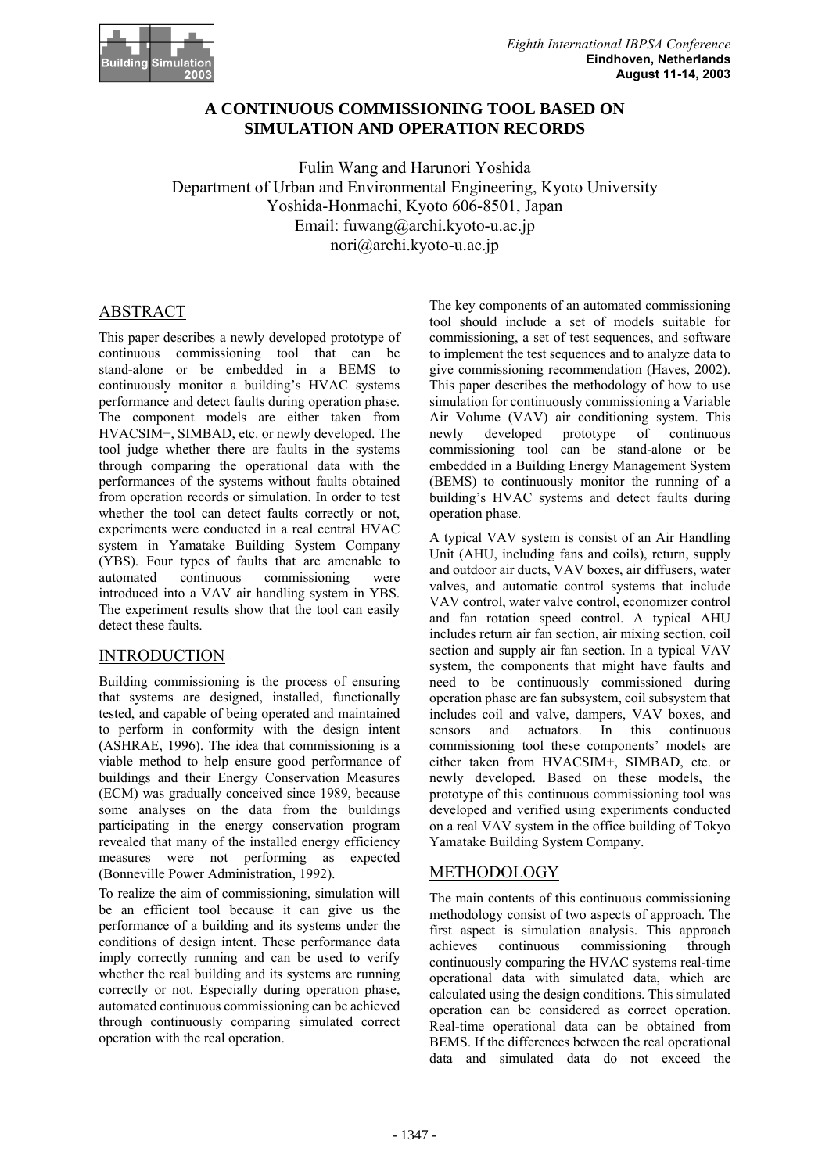

## **A CONTINUOUS COMMISSIONING TOOL BASED ON SIMULATION AND OPERATION RECORDS**

Fulin Wang and Harunori Yoshida Department of Urban and Environmental Engineering, Kyoto University Yoshida-Honmachi, Kyoto 606-8501, Japan Email: fuwang@archi.kyoto-u.ac.jp nori@archi.kyoto-u.ac.jp

## ABSTRACT

This paper describes a newly developed prototype of continuous commissioning tool that can be stand-alone or be embedded in a BEMS to continuously monitor a building's HVAC systems performance and detect faults during operation phase. The component models are either taken from HVACSIM+, SIMBAD, etc. or newly developed. The tool judge whether there are faults in the systems through comparing the operational data with the performances of the systems without faults obtained from operation records or simulation. In order to test whether the tool can detect faults correctly or not, experiments were conducted in a real central HVAC system in Yamatake Building System Company (YBS). Four types of faults that are amenable to automated continuous commissioning were introduced into a VAV air handling system in YBS. The experiment results show that the tool can easily detect these faults.

# **INTRODUCTION**

Building commissioning is the process of ensuring that systems are designed, installed, functionally tested, and capable of being operated and maintained to perform in conformity with the design intent (ASHRAE, 1996). The idea that commissioning is a viable method to help ensure good performance of buildings and their Energy Conservation Measures (ECM) was gradually conceived since 1989, because some analyses on the data from the buildings participating in the energy conservation program revealed that many of the installed energy efficiency measures were not performing as expected (Bonneville Power Administration, 1992).

To realize the aim of commissioning, simulation will be an efficient tool because it can give us the performance of a building and its systems under the conditions of design intent. These performance data imply correctly running and can be used to verify whether the real building and its systems are running correctly or not. Especially during operation phase, automated continuous commissioning can be achieved through continuously comparing simulated correct operation with the real operation.

The key components of an automated commissioning tool should include a set of models suitable for commissioning, a set of test sequences, and software to implement the test sequences and to analyze data to give commissioning recommendation (Haves, 2002). This paper describes the methodology of how to use simulation for continuously commissioning a Variable Air Volume (VAV) air conditioning system. This newly developed prototype of continuous commissioning tool can be stand-alone or be embedded in a Building Energy Management System (BEMS) to continuously monitor the running of a building's HVAC systems and detect faults during operation phase.

A typical VAV system is consist of an Air Handling Unit (AHU, including fans and coils), return, supply and outdoor air ducts, VAV boxes, air diffusers, water valves, and automatic control systems that include VAV control, water valve control, economizer control and fan rotation speed control. A typical AHU includes return air fan section, air mixing section, coil section and supply air fan section. In a typical VAV system, the components that might have faults and need to be continuously commissioned during operation phase are fan subsystem, coil subsystem that includes coil and valve, dampers, VAV boxes, and sensors and actuators. In this continuous commissioning tool these components' models are either taken from HVACSIM+, SIMBAD, etc. or newly developed. Based on these models, the prototype of this continuous commissioning tool was developed and verified using experiments conducted on a real VAV system in the office building of Tokyo Yamatake Building System Company.

# METHODOLOGY

The main contents of this continuous commissioning methodology consist of two aspects of approach. The first aspect is simulation analysis. This approach achieves continuous commissioning through continuously comparing the HVAC systems real-time operational data with simulated data, which are calculated using the design conditions. This simulated operation can be considered as correct operation. Real-time operational data can be obtained from BEMS. If the differences between the real operational data and simulated data do not exceed the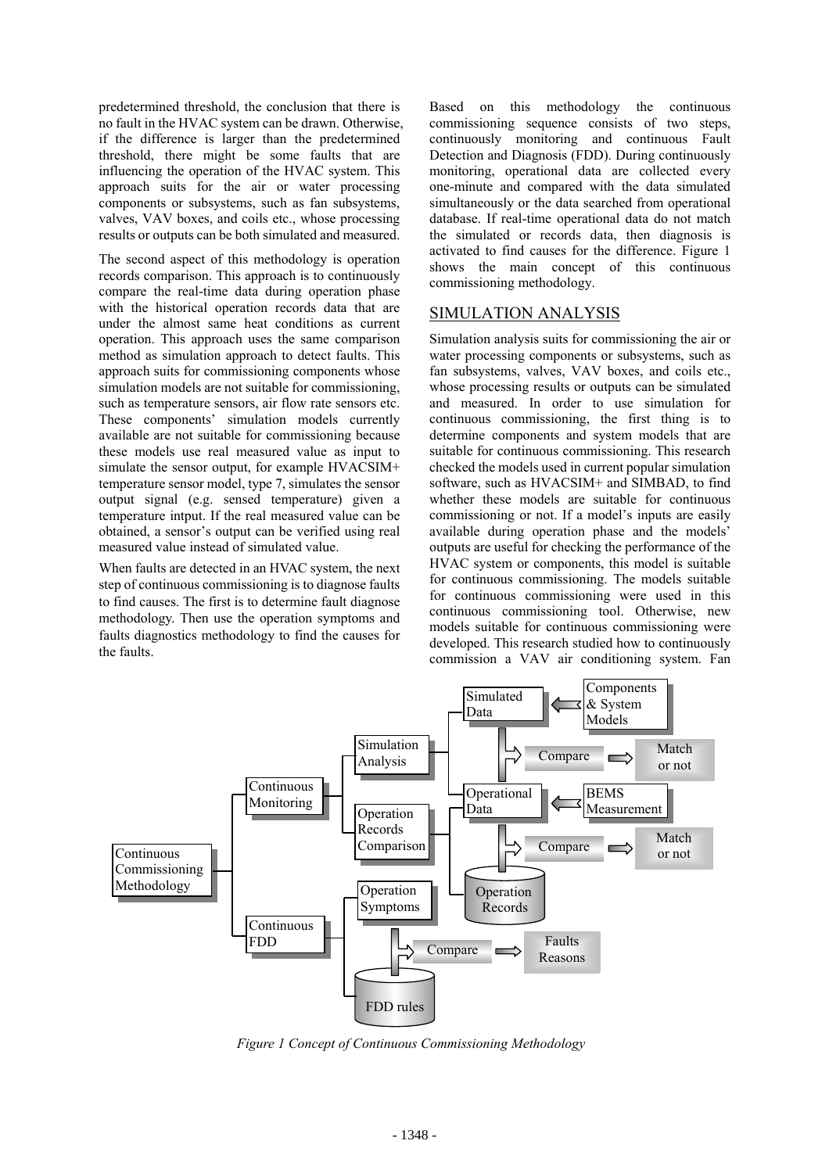predetermined threshold, the conclusion that there is no fault in the HVAC system can be drawn. Otherwise, if the difference is larger than the predetermined threshold, there might be some faults that are influencing the operation of the HVAC system. This approach suits for the air or water processing components or subsystems, such as fan subsystems, valves, VAV boxes, and coils etc., whose processing results or outputs can be both simulated and measured.

The second aspect of this methodology is operation records comparison. This approach is to continuously compare the real-time data during operation phase with the historical operation records data that are under the almost same heat conditions as current operation. This approach uses the same comparison method as simulation approach to detect faults. This approach suits for commissioning components whose simulation models are not suitable for commissioning, such as temperature sensors, air flow rate sensors etc. These components' simulation models currently available are not suitable for commissioning because these models use real measured value as input to simulate the sensor output, for example HVACSIM+ temperature sensor model, type 7, simulates the sensor output signal (e.g. sensed temperature) given a temperature intput. If the real measured value can be obtained, a sensor's output can be verified using real measured value instead of simulated value.

When faults are detected in an HVAC system, the next step of continuous commissioning is to diagnose faults to find causes. The first is to determine fault diagnose methodology. Then use the operation symptoms and faults diagnostics methodology to find the causes for the faults.

Based on this methodology the continuous commissioning sequence consists of two steps, continuously monitoring and continuous Fault Detection and Diagnosis (FDD). During continuously monitoring, operational data are collected every one-minute and compared with the data simulated simultaneously or the data searched from operational database. If real-time operational data do not match the simulated or records data, then diagnosis is activated to find causes for the difference. Figure 1 shows the main concept of this continuous commissioning methodology.

# SIMULATION ANALYSIS

Simulation analysis suits for commissioning the air or water processing components or subsystems, such as fan subsystems, valves, VAV boxes, and coils etc., whose processing results or outputs can be simulated and measured. In order to use simulation for continuous commissioning, the first thing is to determine components and system models that are suitable for continuous commissioning. This research checked the models used in current popular simulation software, such as HVACSIM+ and SIMBAD, to find whether these models are suitable for continuous commissioning or not. If a model's inputs are easily available during operation phase and the models' outputs are useful for checking the performance of the HVAC system or components, this model is suitable for continuous commissioning. The models suitable for continuous commissioning were used in this continuous commissioning tool. Otherwise, new models suitable for continuous commissioning were developed. This research studied how to continuously commission a VAV air conditioning system. Fan



*Figure 1 Concept of Continuous Commissioning Methodology*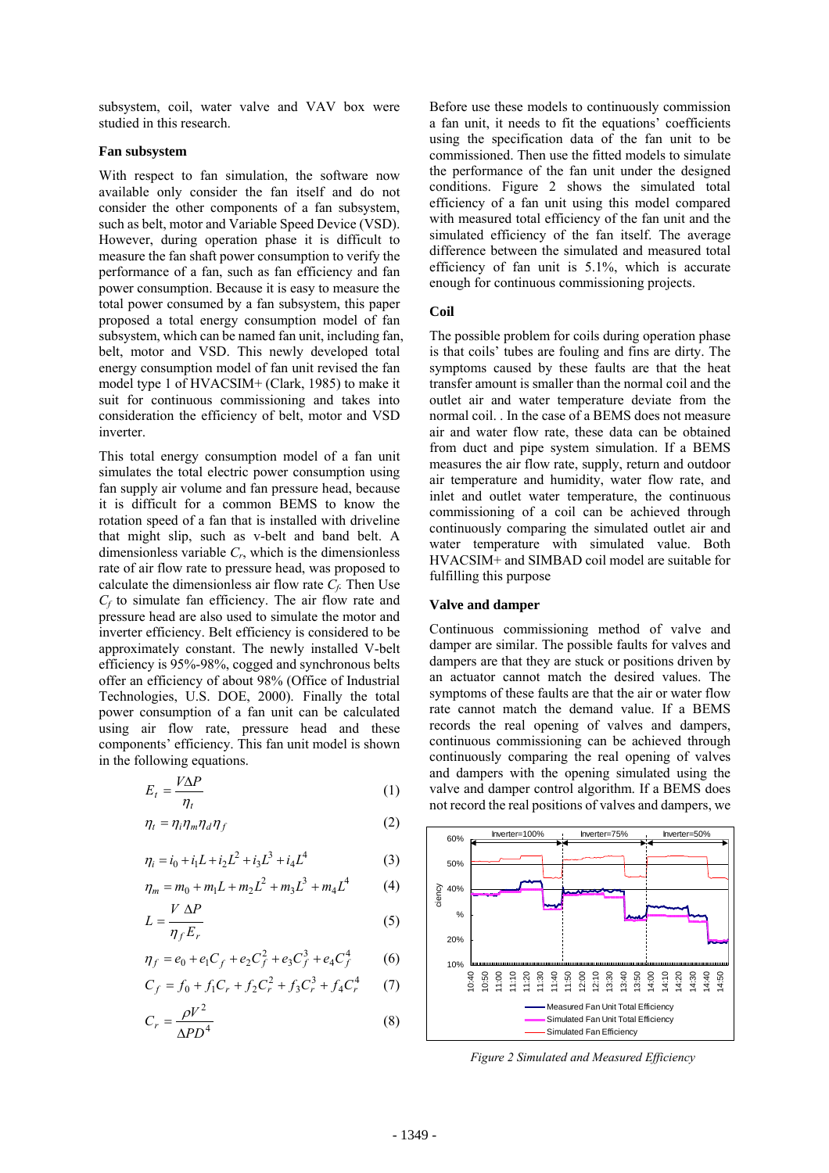subsystem, coil, water valve and VAV box were studied in this research.

### **Fan subsystem**

With respect to fan simulation, the software now available only consider the fan itself and do not consider the other components of a fan subsystem, such as belt, motor and Variable Speed Device (VSD). However, during operation phase it is difficult to measure the fan shaft power consumption to verify the performance of a fan, such as fan efficiency and fan power consumption. Because it is easy to measure the total power consumed by a fan subsystem, this paper proposed a total energy consumption model of fan subsystem, which can be named fan unit, including fan, belt, motor and VSD. This newly developed total energy consumption model of fan unit revised the fan model type 1 of HVACSIM+ (Clark, 1985) to make it suit for continuous commissioning and takes into consideration the efficiency of belt, motor and VSD inverter.

This total energy consumption model of a fan unit simulates the total electric power consumption using fan supply air volume and fan pressure head, because it is difficult for a common BEMS to know the rotation speed of a fan that is installed with driveline that might slip, such as v-belt and band belt. A dimensionless variable *Cr*, which is the dimensionless rate of air flow rate to pressure head, was proposed to calculate the dimensionless air flow rate  $C_f$ . Then Use *Cf* to simulate fan efficiency. The air flow rate and pressure head are also used to simulate the motor and inverter efficiency. Belt efficiency is considered to be approximately constant. The newly installed V-belt efficiency is 95%-98%, cogged and synchronous belts offer an efficiency of about 98% (Office of Industrial Technologies, U.S. DOE, 2000). Finally the total power consumption of a fan unit can be calculated using air flow rate, pressure head and these components' efficiency. This fan unit model is shown in the following equations.

$$
E_t = \frac{V\Delta P}{\eta_t} \tag{1}
$$

$$
\eta_t = \eta_i \eta_m \eta_d \eta_f \tag{2}
$$

$$
\eta_i = i_0 + i_1 L + i_2 L^2 + i_3 L^3 + i_4 L^4 \tag{3}
$$

$$
\eta_m = m_0 + m_1 L + m_2 L^2 + m_3 L^3 + m_4 L^4 \tag{4}
$$

$$
L = \frac{V \Delta P}{\eta_f E_r} \tag{5}
$$

$$
\eta_f = e_0 + e_1 C_f + e_2 C_f^2 + e_3 C_f^3 + e_4 C_f^4 \tag{6}
$$

$$
C_f = f_0 + f_1 C_r + f_2 C_r^2 + f_3 C_r^3 + f_4 C_r^4 \tag{7}
$$

$$
C_r = \frac{\rho V^2}{\Delta P D^4} \tag{8}
$$

Before use these models to continuously commission a fan unit, it needs to fit the equations' coefficients using the specification data of the fan unit to be commissioned. Then use the fitted models to simulate the performance of the fan unit under the designed conditions. Figure 2 shows the simulated total efficiency of a fan unit using this model compared with measured total efficiency of the fan unit and the simulated efficiency of the fan itself. The average difference between the simulated and measured total efficiency of fan unit is 5.1%, which is accurate enough for continuous commissioning projects.

### **Coil**

The possible problem for coils during operation phase is that coils' tubes are fouling and fins are dirty. The symptoms caused by these faults are that the heat transfer amount is smaller than the normal coil and the outlet air and water temperature deviate from the normal coil. . In the case of a BEMS does not measure air and water flow rate, these data can be obtained from duct and pipe system simulation. If a BEMS measures the air flow rate, supply, return and outdoor air temperature and humidity, water flow rate, and inlet and outlet water temperature, the continuous commissioning of a coil can be achieved through continuously comparing the simulated outlet air and water temperature with simulated value. Both HVACSIM+ and SIMBAD coil model are suitable for fulfilling this purpose

#### **Valve and damper**

Continuous commissioning method of valve and damper are similar. The possible faults for valves and dampers are that they are stuck or positions driven by an actuator cannot match the desired values. The symptoms of these faults are that the air or water flow rate cannot match the demand value. If a BEMS records the real opening of valves and dampers, continuous commissioning can be achieved through continuously comparing the real opening of valves and dampers with the opening simulated using the valve and damper control algorithm. If a BEMS does not record the real positions of valves and dampers, we



*Figure 2 Simulated and Measured Efficiency*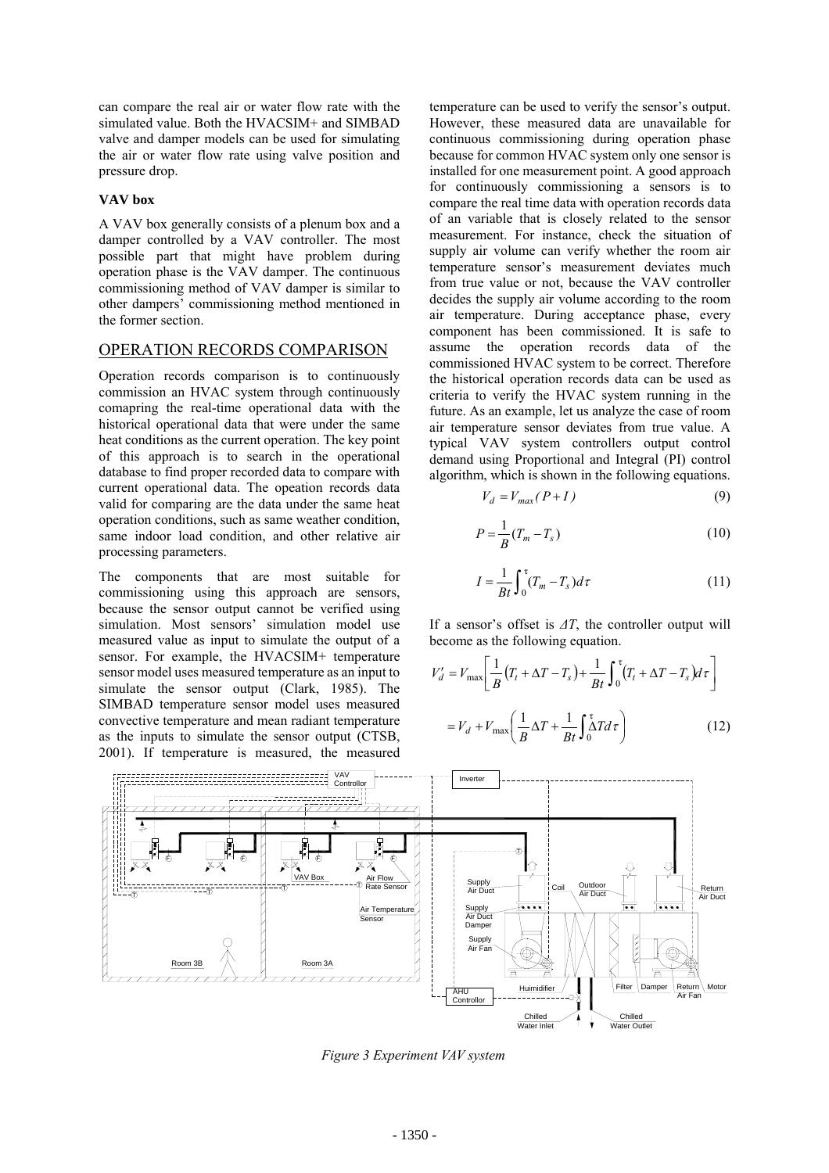can compare the real air or water flow rate with the simulated value. Both the HVACSIM+ and SIMBAD valve and damper models can be used for simulating the air or water flow rate using valve position and pressure drop.

### **VAV box**

A VAV box generally consists of a plenum box and a damper controlled by a VAV controller. The most possible part that might have problem during operation phase is the VAV damper. The continuous commissioning method of VAV damper is similar to other dampers' commissioning method mentioned in the former section.

## OPERATION RECORDS COMPARISON

Operation records comparison is to continuously commission an HVAC system through continuously comapring the real-time operational data with the historical operational data that were under the same heat conditions as the current operation. The key point of this approach is to search in the operational database to find proper recorded data to compare with current operational data. The opeation records data valid for comparing are the data under the same heat operation conditions, such as same weather condition, same indoor load condition, and other relative air processing parameters.

The components that are most suitable for commissioning using this approach are sensors, because the sensor output cannot be verified using simulation. Most sensors' simulation model use measured value as input to simulate the output of a sensor. For example, the HVACSIM+ temperature sensor model uses measured temperature as an input to simulate the sensor output (Clark, 1985). The SIMBAD temperature sensor model uses measured convective temperature and mean radiant temperature as the inputs to simulate the sensor output (CTSB, 2001). If temperature is measured, the measured

temperature can be used to verify the sensor's output. However, these measured data are unavailable for continuous commissioning during operation phase because for common HVAC system only one sensor is installed for one measurement point. A good approach for continuously commissioning a sensors is to compare the real time data with operation records data of an variable that is closely related to the sensor measurement. For instance, check the situation of supply air volume can verify whether the room air temperature sensor's measurement deviates much from true value or not, because the VAV controller decides the supply air volume according to the room air temperature. During acceptance phase, every component has been commissioned. It is safe to assume the operation records data of the commissioned HVAC system to be correct. Therefore the historical operation records data can be used as criteria to verify the HVAC system running in the future. As an example, let us analyze the case of room air temperature sensor deviates from true value. A typical VAV system controllers output control demand using Proportional and Integral (PI) control algorithm, which is shown in the following equations.

$$
V_d = V_{max}(P+I) \tag{9}
$$

$$
P = \frac{1}{B}(T_m - T_s) \tag{10}
$$

$$
I = \frac{1}{Bt} \int_0^{\tau} (T_m - T_s) d\tau
$$
 (11)

If a sensor's offset is *∆T*, the controller output will become as the following equation.

$$
V'_d = V_{\text{max}} \left[ \frac{1}{B} \left( T_t + \Delta T - T_s \right) + \frac{1}{Bt} \int_0^\tau (T_t + \Delta T - T_s) d\tau \right]
$$
  
=  $V_d + V_{\text{max}} \left( \frac{1}{B} \Delta T + \frac{1}{Bt} \int_0^\tau \Delta T d\tau \right)$  (12)



*Figure 3 Experiment VAV system*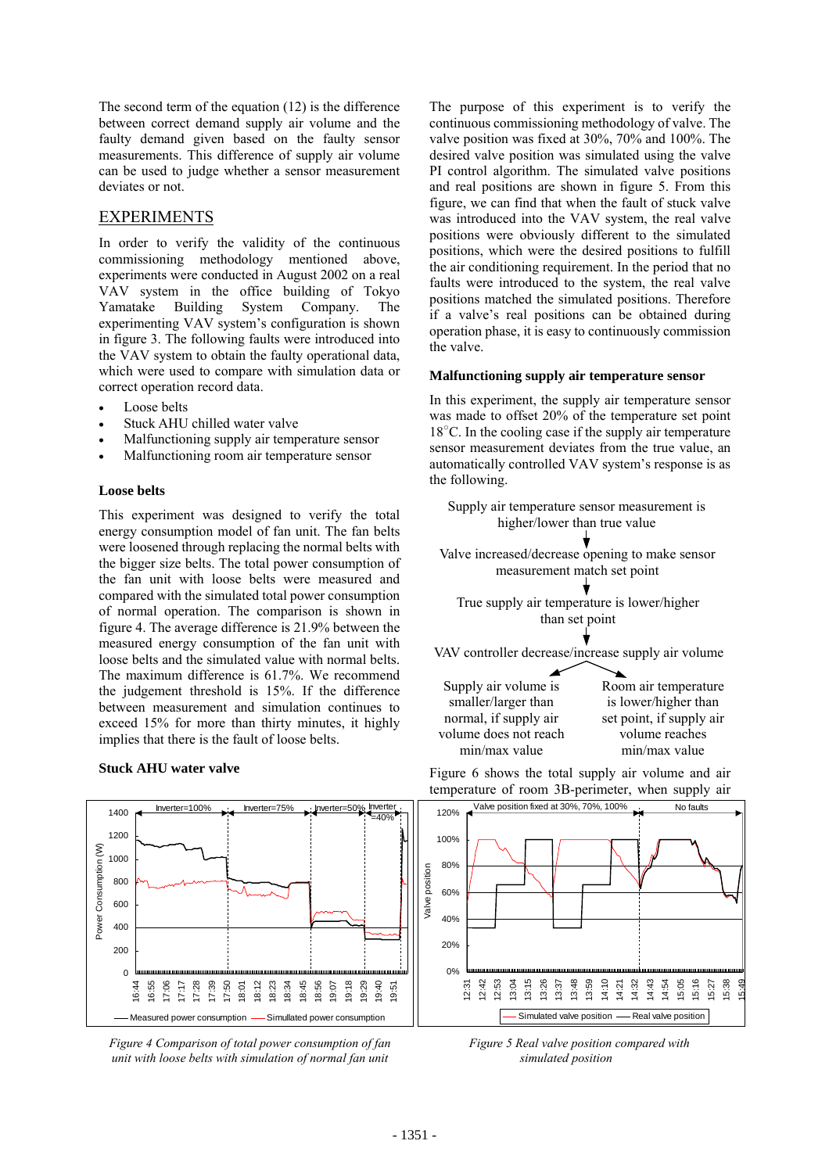The second term of the equation (12) is the difference between correct demand supply air volume and the faulty demand given based on the faulty sensor measurements. This difference of supply air volume can be used to judge whether a sensor measurement deviates or not.

# EXPERIMENTS

In order to verify the validity of the continuous commissioning methodology mentioned above, experiments were conducted in August 2002 on a real VAV system in the office building of Tokyo Yamatake Building System Company. The experimenting VAV system's configuration is shown in figure 3. The following faults were introduced into the VAV system to obtain the faulty operational data, which were used to compare with simulation data or correct operation record data.

- Loose belts
- Stuck AHU chilled water valve
- Malfunctioning supply air temperature sensor
- Malfunctioning room air temperature sensor

### **Loose belts**

This experiment was designed to verify the total energy consumption model of fan unit. The fan belts were loosened through replacing the normal belts with the bigger size belts. The total power consumption of the fan unit with loose belts were measured and compared with the simulated total power consumption of normal operation. The comparison is shown in figure 4. The average difference is 21.9% between the measured energy consumption of the fan unit with loose belts and the simulated value with normal belts. The maximum difference is 61.7%. We recommend the judgement threshold is 15%. If the difference between measurement and simulation continues to exceed 15% for more than thirty minutes, it highly implies that there is the fault of loose belts.

#### **Stuck AHU water valve**

The purpose of this experiment is to verify the continuous commissioning methodology of valve. The valve position was fixed at 30%, 70% and 100%. The desired valve position was simulated using the valve PI control algorithm. The simulated valve positions and real positions are shown in figure 5. From this figure, we can find that when the fault of stuck valve was introduced into the VAV system, the real valve positions were obviously different to the simulated positions, which were the desired positions to fulfill the air conditioning requirement. In the period that no faults were introduced to the system, the real valve positions matched the simulated positions. Therefore if a valve's real positions can be obtained during operation phase, it is easy to continuously commission the valve.

### **Malfunctioning supply air temperature sensor**

In this experiment, the supply air temperature sensor was made to offset 20% of the temperature set point 18<sup>°</sup>C. In the cooling case if the supply air temperature sensor measurement deviates from the true value, an automatically controlled VAV system's response is as the following.







*Figure 4 Comparison of total power consumption of fan unit with loose belts with simulation of normal fan unit*

*Figure 5 Real valve position compared with simulated position* 

15:49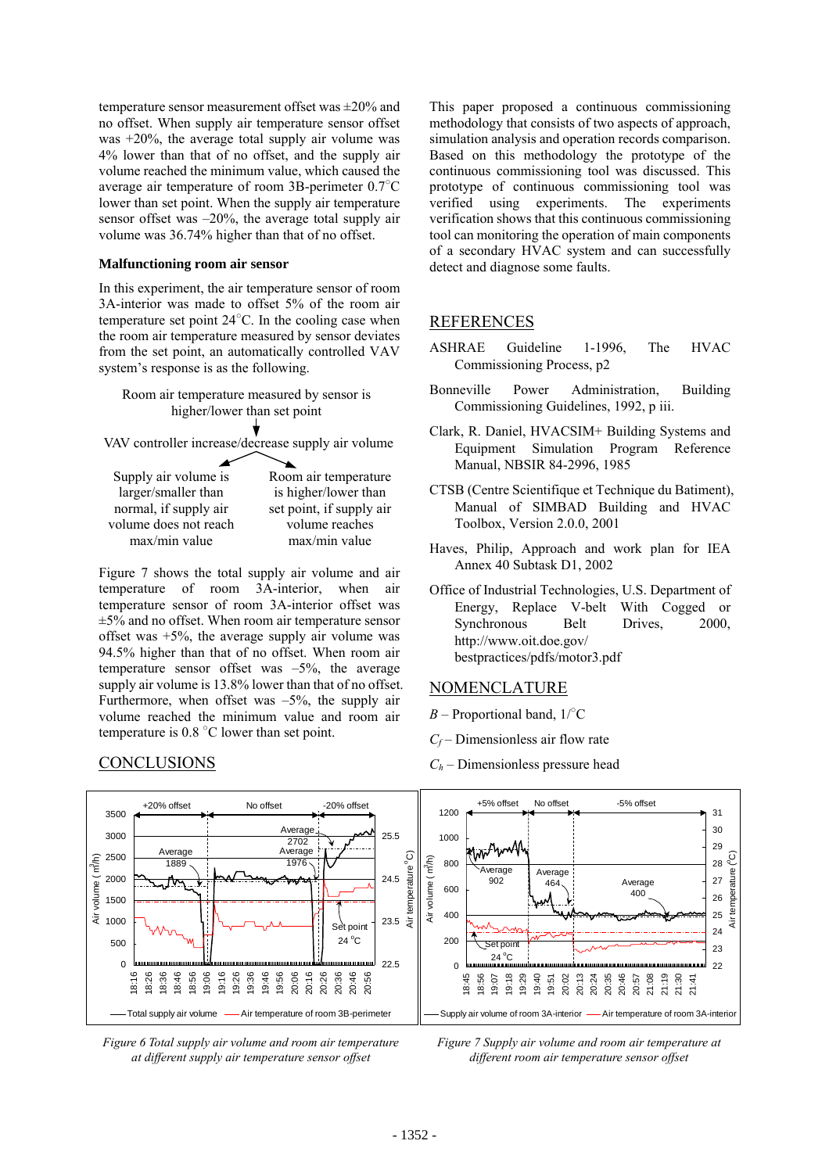temperature sensor measurement offset was ±20% and no offset. When supply air temperature sensor offset was +20%, the average total supply air volume was 4% lower than that of no offset, and the supply air volume reached the minimum value, which caused the average air temperature of room 3B-perimeter 0.7○ C lower than set point. When the supply air temperature sensor offset was –20%, the average total supply air volume was 36.74% higher than that of no offset.

#### **Malfunctioning room air sensor**

In this experiment, the air temperature sensor of room 3A-interior was made to offset 5% of the room air temperature set point  $24^{\circ}$ C. In the cooling case when the room air temperature measured by sensor deviates from the set point, an automatically controlled VAV system's response is as the following.



VAV controller increase/decrease supply air volume

| Supply air volume is  | Room air temperature     |
|-----------------------|--------------------------|
| larger/smaller than   | is higher/lower than     |
| normal, if supply air | set point, if supply air |
| volume does not reach | volume reaches           |
| $max/min$ value       | max/min value            |
|                       |                          |

Figure 7 shows the total supply air volume and air temperature of room 3A-interior, when air temperature sensor of room 3A-interior offset was  $\pm$ 5% and no offset. When room air temperature sensor offset was  $+5\%$ , the average supply air volume was 94.5% higher than that of no offset. When room air temperature sensor offset was  $-5\%$ , the average supply air volume is 13.8% lower than that of no offset. Furthermore, when offset was  $-5\%$ , the supply air volume reached the minimum value and room air temperature is  $0.8\degree$ C lower than set point.

## CONCLUSIONS

This paper proposed a continuous commissioning methodology that consists of two aspects of approach, simulation analysis and operation records comparison. Based on this methodology the prototype of the continuous commissioning tool was discussed. This prototype of continuous commissioning tool was verified using experiments. The experiments verification shows that this continuous commissioning tool can monitoring the operation of main components of a secondary HVAC system and can successfully detect and diagnose some faults.

### REFERENCES

- ASHRAE Guideline 1-1996, The HVAC Commissioning Process, p2
- Bonneville Power Administration, Building Commissioning Guidelines, 1992, p iii.
- Clark, R. Daniel, HVACSIM+ Building Systems and Equipment Simulation Program Reference Manual, NBSIR 84-2996, 1985
- CTSB (Centre Scientifique et Technique du Batiment), Manual of SIMBAD Building and HVAC Toolbox, Version 2.0.0, 2001
- Haves, Philip, Approach and work plan for IEA Annex 40 Subtask D1, 2002
- Office of Industrial Technologies, U.S. Department of Energy, Replace V-belt With Cogged or Synchronous Belt Drives, 2000, http://www.oit.doe.gov/ bestpractices/pdfs/motor3.pdf

### NOMENCLATURE

- $B$  Proportional band,  $1$ <sup>o</sup>C
- *C<sub>f</sub>* Dimensionless air flow rate
- $C_h$  Dimensionless pressure head



*Figure 6 Total supply air volume and room air temperature at different supply air temperature sensor offset* 

*Figure 7 Supply air volume and room air temperature at different room air temperature sensor offset*